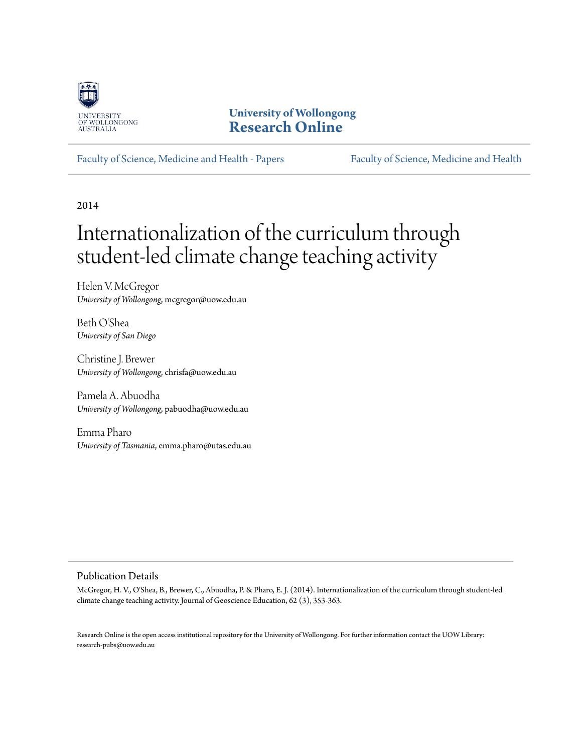

## **University of Wollongong [Research Online](http://ro.uow.edu.au)**

[Faculty of Science, Medicine and Health - Papers](http://ro.uow.edu.au/smhpapers) [Faculty of Science, Medicine and Health](http://ro.uow.edu.au/smh)

2014

# Internationalization of the curriculum through student-led climate change teaching activity

Helen V. McGregor *University of Wollongong*, mcgregor@uow.edu.au

Beth O'Shea *University of San Diego*

Christine J. Brewer *University of Wollongong*, chrisfa@uow.edu.au

Pamela A. Abuodha *University of Wollongong*, pabuodha@uow.edu.au

Emma Pharo *University of Tasmania*, emma.pharo@utas.edu.au

#### Publication Details

McGregor, H. V., O'Shea, B., Brewer, C., Abuodha, P. & Pharo, E. J. (2014). Internationalization of the curriculum through student-led climate change teaching activity. Journal of Geoscience Education, 62 (3), 353-363.

Research Online is the open access institutional repository for the University of Wollongong. For further information contact the UOW Library: research-pubs@uow.edu.au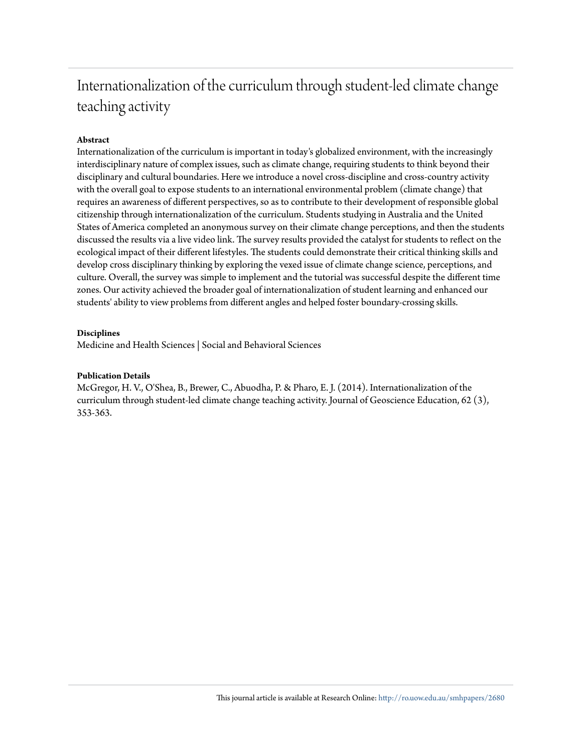## Internationalization of the curriculum through student-led climate change teaching activity

#### **Abstract**

Internationalization of the curriculum is important in today's globalized environment, with the increasingly interdisciplinary nature of complex issues, such as climate change, requiring students to think beyond their disciplinary and cultural boundaries. Here we introduce a novel cross-discipline and cross-country activity with the overall goal to expose students to an international environmental problem (climate change) that requires an awareness of different perspectives, so as to contribute to their development of responsible global citizenship through internationalization of the curriculum. Students studying in Australia and the United States of America completed an anonymous survey on their climate change perceptions, and then the students discussed the results via a live video link. The survey results provided the catalyst for students to reflect on the ecological impact of their different lifestyles. The students could demonstrate their critical thinking skills and develop cross disciplinary thinking by exploring the vexed issue of climate change science, perceptions, and culture. Overall, the survey was simple to implement and the tutorial was successful despite the different time zones. Our activity achieved the broader goal of internationalization of student learning and enhanced our students' ability to view problems from different angles and helped foster boundary-crossing skills.

#### **Disciplines**

Medicine and Health Sciences | Social and Behavioral Sciences

#### **Publication Details**

McGregor, H. V., O'Shea, B., Brewer, C., Abuodha, P. & Pharo, E. J. (2014). Internationalization of the curriculum through student-led climate change teaching activity. Journal of Geoscience Education, 62 (3), 353-363.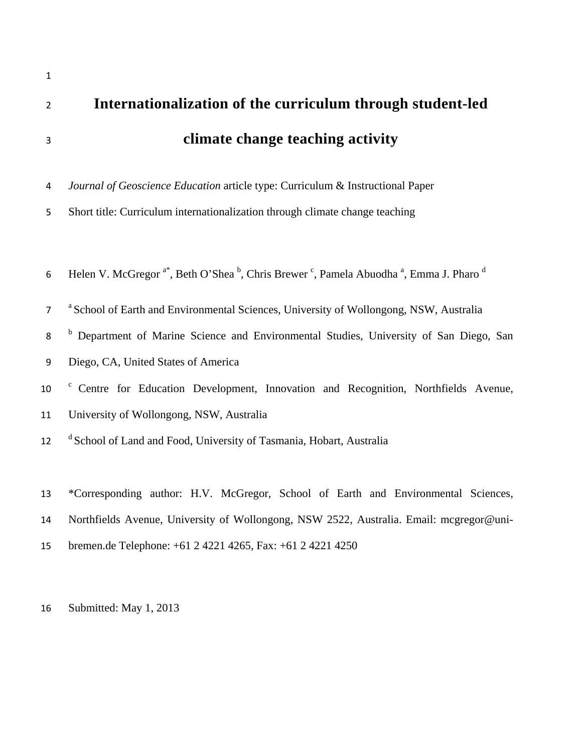| $\overline{2}$ | Internationalization of the curriculum through student-led                                                                                        |
|----------------|---------------------------------------------------------------------------------------------------------------------------------------------------|
| 3              | climate change teaching activity                                                                                                                  |
| 4              | Journal of Geoscience Education article type: Curriculum & Instructional Paper                                                                    |
| 5              | Short title: Curriculum internationalization through climate change teaching                                                                      |
|                |                                                                                                                                                   |
| 6              | Helen V. McGregor <sup>a*</sup> , Beth O'Shea <sup>b</sup> , Chris Brewer <sup>c</sup> , Pamela Abuodha <sup>a</sup> , Emma J. Pharo <sup>d</sup> |
| 7              | <sup>a</sup> School of Earth and Environmental Sciences, University of Wollongong, NSW, Australia                                                 |
| 8              | <sup>b</sup> Department of Marine Science and Environmental Studies, University of San Diego, San                                                 |
| 9              | Diego, CA, United States of America                                                                                                               |
| 10             | <sup>c</sup> Centre for Education Development, Innovation and Recognition, Northfields Avenue,                                                    |
| 11             | University of Wollongong, NSW, Australia                                                                                                          |
| 12             | <sup>d</sup> School of Land and Food, University of Tasmania, Hobart, Australia                                                                   |
|                |                                                                                                                                                   |
| 13             | *Corresponding author: H.V. McGregor, School of Earth and Environmental Sciences,                                                                 |
| 14             | Northfields Avenue, University of Wollongong, NSW 2522, Australia. Email: mcgregor@uni-                                                           |
| 15             | bremen.de Telephone: +61 2 4221 4265, Fax: +61 2 4221 4250                                                                                        |

16 Submitted: May 1, 2013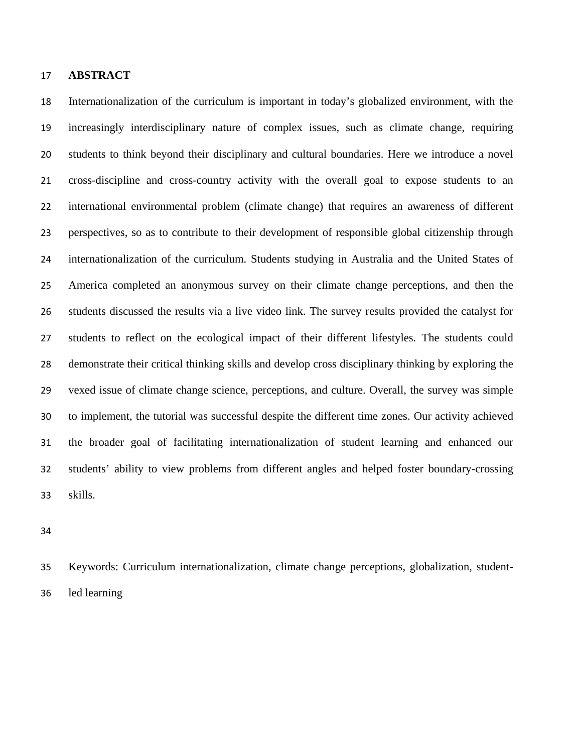#### **ABSTRACT**

Internationalization of the curriculum is important in today's globalized environment, with the increasingly interdisciplinary nature of complex issues, such as climate change, requiring students to think beyond their disciplinary and cultural boundaries. Here we introduce a novel cross-discipline and cross-country activity with the overall goal to expose students to an international environmental problem (climate change) that requires an awareness of different perspectives, so as to contribute to their development of responsible global citizenship through internationalization of the curriculum. Students studying in Australia and the United States of America completed an anonymous survey on their climate change perceptions, and then the students discussed the results via a live video link. The survey results provided the catalyst for students to reflect on the ecological impact of their different lifestyles. The students could demonstrate their critical thinking skills and develop cross disciplinary thinking by exploring the vexed issue of climate change science, perceptions, and culture. Overall, the survey was simple to implement, the tutorial was successful despite the different time zones. Our activity achieved the broader goal of facilitating internationalization of student learning and enhanced our students' ability to view problems from different angles and helped foster boundary-crossing skills.

Keywords: Curriculum internationalization, climate change perceptions, globalization, student-led learning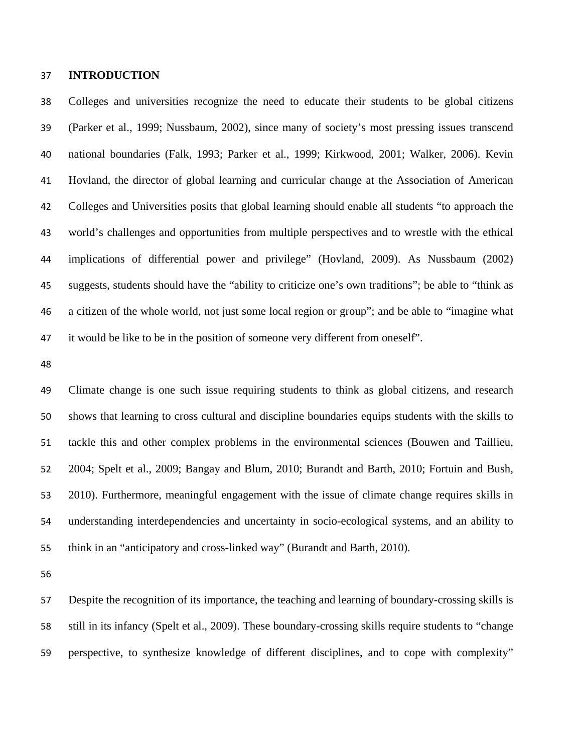#### **INTRODUCTION**

Colleges and universities recognize the need to educate their students to be global citizens (Parker et al., 1999; Nussbaum, 2002), since many of society's most pressing issues transcend national boundaries (Falk, 1993; Parker et al., 1999; Kirkwood, 2001; Walker, 2006). Kevin Hovland, the director of global learning and curricular change at the Association of American Colleges and Universities posits that global learning should enable all students "to approach the world's challenges and opportunities from multiple perspectives and to wrestle with the ethical implications of differential power and privilege" (Hovland, 2009). As Nussbaum (2002) suggests, students should have the "ability to criticize one's own traditions"; be able to "think as a citizen of the whole world, not just some local region or group"; and be able to "imagine what it would be like to be in the position of someone very different from oneself".

Climate change is one such issue requiring students to think as global citizens, and research shows that learning to cross cultural and discipline boundaries equips students with the skills to tackle this and other complex problems in the environmental sciences (Bouwen and Taillieu, 2004; Spelt et al., 2009; Bangay and Blum, 2010; Burandt and Barth, 2010; Fortuin and Bush, 2010). Furthermore, meaningful engagement with the issue of climate change requires skills in understanding interdependencies and uncertainty in socio-ecological systems, and an ability to think in an "anticipatory and cross-linked way" (Burandt and Barth, 2010).

Despite the recognition of its importance, the teaching and learning of boundary-crossing skills is still in its infancy (Spelt et al., 2009). These boundary-crossing skills require students to "change perspective, to synthesize knowledge of different disciplines, and to cope with complexity"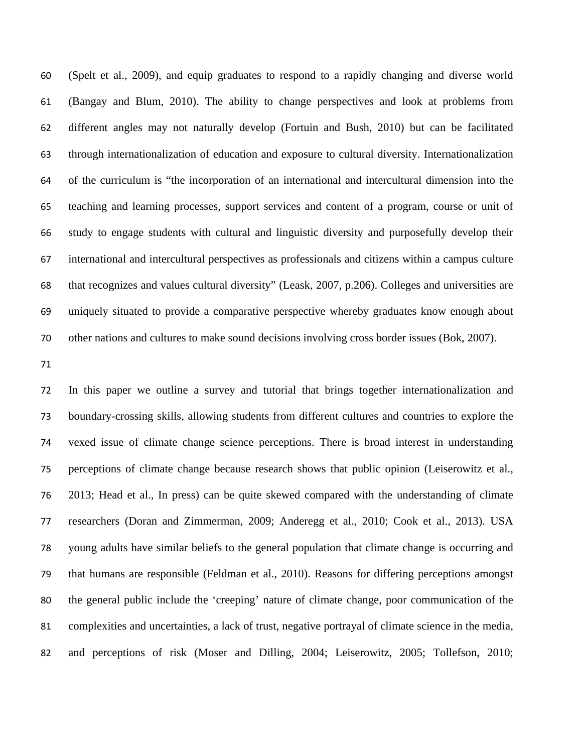(Spelt et al., 2009), and equip graduates to respond to a rapidly changing and diverse world (Bangay and Blum, 2010). The ability to change perspectives and look at problems from different angles may not naturally develop (Fortuin and Bush, 2010) but can be facilitated through internationalization of education and exposure to cultural diversity. Internationalization of the curriculum is "the incorporation of an international and intercultural dimension into the teaching and learning processes, support services and content of a program, course or unit of study to engage students with cultural and linguistic diversity and purposefully develop their international and intercultural perspectives as professionals and citizens within a campus culture that recognizes and values cultural diversity" (Leask, 2007, p.206). Colleges and universities are uniquely situated to provide a comparative perspective whereby graduates know enough about other nations and cultures to make sound decisions involving cross border issues (Bok, 2007).

In this paper we outline a survey and tutorial that brings together internationalization and boundary-crossing skills, allowing students from different cultures and countries to explore the vexed issue of climate change science perceptions. There is broad interest in understanding perceptions of climate change because research shows that public opinion (Leiserowitz et al., 2013; Head et al., In press) can be quite skewed compared with the understanding of climate researchers (Doran and Zimmerman, 2009; Anderegg et al., 2010; Cook et al., 2013). USA young adults have similar beliefs to the general population that climate change is occurring and that humans are responsible (Feldman et al., 2010). Reasons for differing perceptions amongst the general public include the 'creeping' nature of climate change, poor communication of the complexities and uncertainties, a lack of trust, negative portrayal of climate science in the media, and perceptions of risk (Moser and Dilling, 2004; Leiserowitz, 2005; Tollefson, 2010;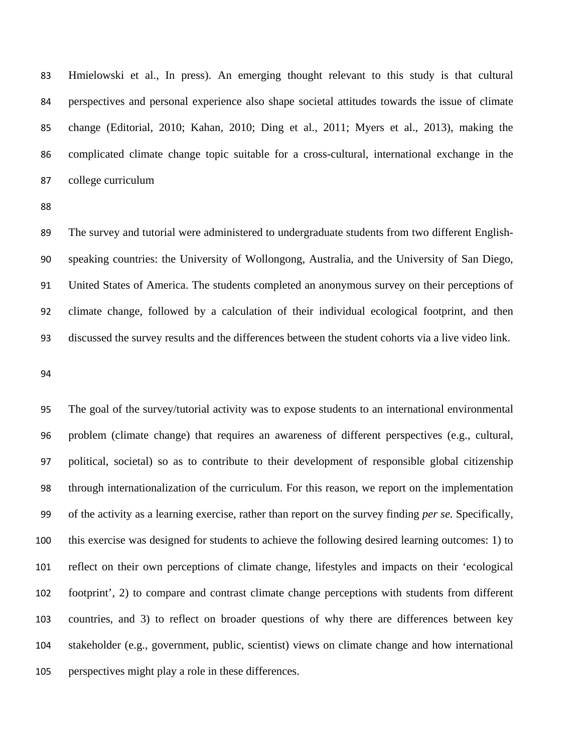Hmielowski et al., In press). An emerging thought relevant to this study is that cultural perspectives and personal experience also shape societal attitudes towards the issue of climate change (Editorial, 2010; Kahan, 2010; Ding et al., 2011; Myers et al., 2013), making the complicated climate change topic suitable for a cross-cultural, international exchange in the college curriculum

The survey and tutorial were administered to undergraduate students from two different English-speaking countries: the University of Wollongong, Australia, and the University of San Diego, United States of America. The students completed an anonymous survey on their perceptions of climate change, followed by a calculation of their individual ecological footprint, and then discussed the survey results and the differences between the student cohorts via a live video link.

The goal of the survey/tutorial activity was to expose students to an international environmental problem (climate change) that requires an awareness of different perspectives (e.g., cultural, political, societal) so as to contribute to their development of responsible global citizenship through internationalization of the curriculum. For this reason, we report on the implementation of the activity as a learning exercise, rather than report on the survey finding *per se.* Specifically, this exercise was designed for students to achieve the following desired learning outcomes: 1) to reflect on their own perceptions of climate change, lifestyles and impacts on their 'ecological footprint', 2) to compare and contrast climate change perceptions with students from different countries, and 3) to reflect on broader questions of why there are differences between key stakeholder (e.g., government, public, scientist) views on climate change and how international perspectives might play a role in these differences.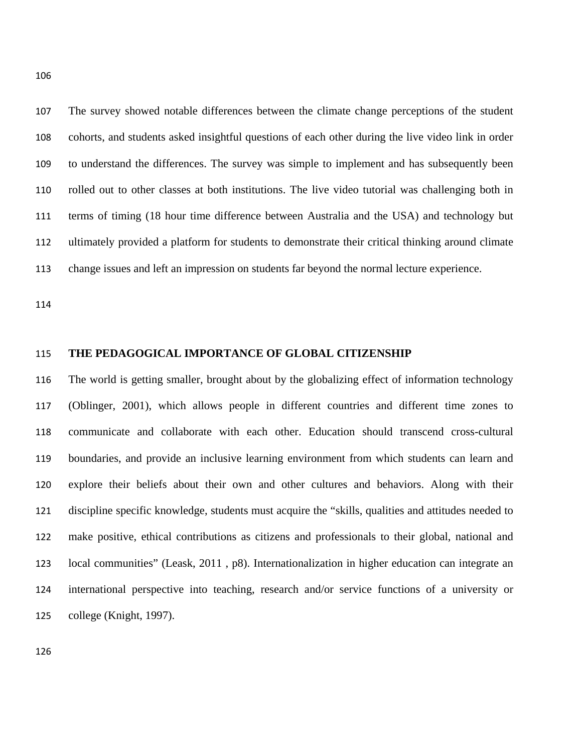The survey showed notable differences between the climate change perceptions of the student cohorts, and students asked insightful questions of each other during the live video link in order to understand the differences. The survey was simple to implement and has subsequently been rolled out to other classes at both institutions. The live video tutorial was challenging both in terms of timing (18 hour time difference between Australia and the USA) and technology but ultimately provided a platform for students to demonstrate their critical thinking around climate change issues and left an impression on students far beyond the normal lecture experience.

#### **THE PEDAGOGICAL IMPORTANCE OF GLOBAL CITIZENSHIP**

The world is getting smaller, brought about by the globalizing effect of information technology (Oblinger, 2001), which allows people in different countries and different time zones to communicate and collaborate with each other. Education should transcend cross-cultural boundaries, and provide an inclusive learning environment from which students can learn and explore their beliefs about their own and other cultures and behaviors. Along with their discipline specific knowledge, students must acquire the "skills, qualities and attitudes needed to make positive, ethical contributions as citizens and professionals to their global, national and local communities" (Leask, 2011 , p8). Internationalization in higher education can integrate an international perspective into teaching, research and/or service functions of a university or college (Knight, 1997).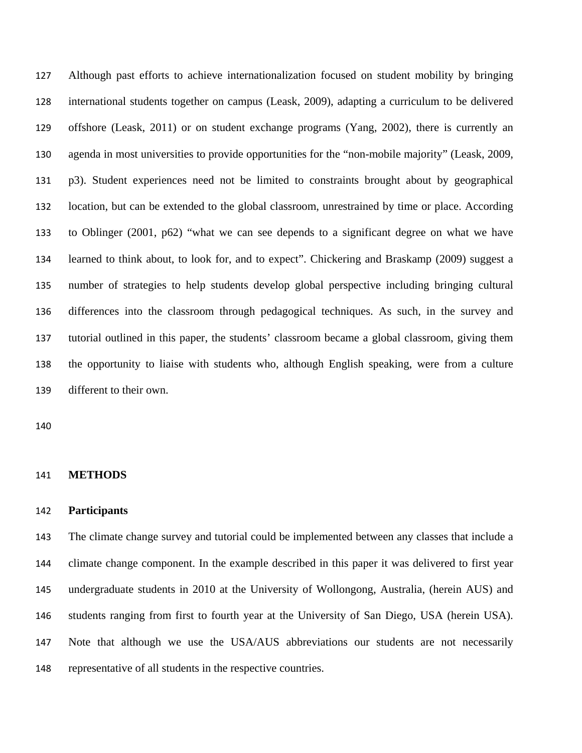Although past efforts to achieve internationalization focused on student mobility by bringing international students together on campus (Leask, 2009), adapting a curriculum to be delivered offshore (Leask, 2011) or on student exchange programs (Yang, 2002), there is currently an agenda in most universities to provide opportunities for the "non-mobile majority" (Leask, 2009, p3). Student experiences need not be limited to constraints brought about by geographical location, but can be extended to the global classroom, unrestrained by time or place. According to Oblinger (2001, p62) "what we can see depends to a significant degree on what we have learned to think about, to look for, and to expect". Chickering and Braskamp (2009) suggest a number of strategies to help students develop global perspective including bringing cultural differences into the classroom through pedagogical techniques. As such, in the survey and tutorial outlined in this paper, the students' classroom became a global classroom, giving them the opportunity to liaise with students who, although English speaking, were from a culture different to their own.

#### **METHODS**

#### **Participants**

The climate change survey and tutorial could be implemented between any classes that include a climate change component. In the example described in this paper it was delivered to first year undergraduate students in 2010 at the University of Wollongong, Australia, (herein AUS) and students ranging from first to fourth year at the University of San Diego, USA (herein USA). Note that although we use the USA/AUS abbreviations our students are not necessarily representative of all students in the respective countries.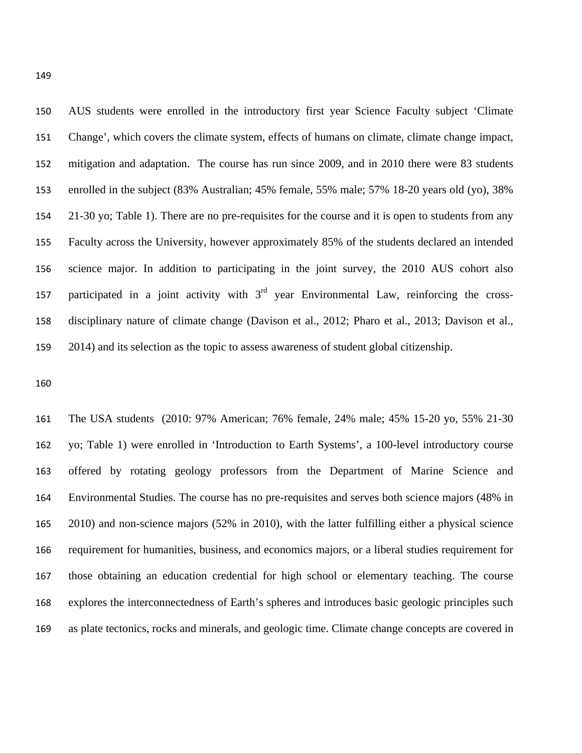AUS students were enrolled in the introductory first year Science Faculty subject 'Climate Change', which covers the climate system, effects of humans on climate, climate change impact, mitigation and adaptation. The course has run since 2009, and in 2010 there were 83 students enrolled in the subject (83% Australian; 45% female, 55% male; 57% 18-20 years old (yo), 38% 21-30 yo; Table 1). There are no pre-requisites for the course and it is open to students from any Faculty across the University, however approximately 85% of the students declared an intended science major. In addition to participating in the joint survey, the 2010 AUS cohort also 157 participated in a joint activity with  $3<sup>rd</sup>$  year Environmental Law, reinforcing the cross-disciplinary nature of climate change (Davison et al., 2012; Pharo et al., 2013; Davison et al., 2014) and its selection as the topic to assess awareness of student global citizenship.

The USA students (2010: 97% American; 76% female, 24% male; 45% 15-20 yo, 55% 21-30 yo; Table 1) were enrolled in 'Introduction to Earth Systems', a 100-level introductory course offered by rotating geology professors from the Department of Marine Science and Environmental Studies. The course has no pre-requisites and serves both science majors (48% in 2010) and non-science majors (52% in 2010), with the latter fulfilling either a physical science requirement for humanities, business, and economics majors, or a liberal studies requirement for those obtaining an education credential for high school or elementary teaching. The course explores the interconnectedness of Earth's spheres and introduces basic geologic principles such as plate tectonics, rocks and minerals, and geologic time. Climate change concepts are covered in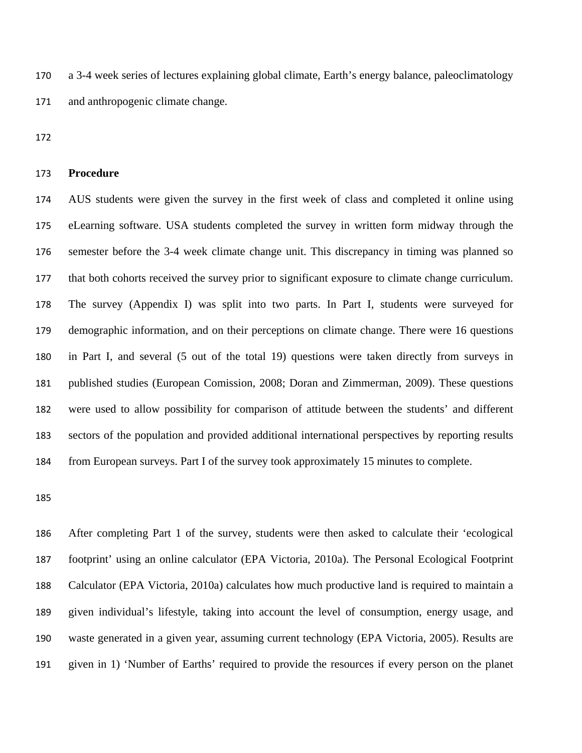a 3-4 week series of lectures explaining global climate, Earth's energy balance, paleoclimatology and anthropogenic climate change.

#### **Procedure**

AUS students were given the survey in the first week of class and completed it online using eLearning software. USA students completed the survey in written form midway through the semester before the 3-4 week climate change unit. This discrepancy in timing was planned so that both cohorts received the survey prior to significant exposure to climate change curriculum. The survey (Appendix I) was split into two parts. In Part I, students were surveyed for demographic information, and on their perceptions on climate change. There were 16 questions in Part I, and several (5 out of the total 19) questions were taken directly from surveys in published studies (European Comission, 2008; Doran and Zimmerman, 2009). These questions were used to allow possibility for comparison of attitude between the students' and different sectors of the population and provided additional international perspectives by reporting results from European surveys. Part I of the survey took approximately 15 minutes to complete.

After completing Part 1 of the survey, students were then asked to calculate their 'ecological footprint' using an online calculator (EPA Victoria, 2010a). The Personal Ecological Footprint Calculator (EPA Victoria, 2010a) calculates how much productive land is required to maintain a given individual's lifestyle, taking into account the level of consumption, energy usage, and waste generated in a given year, assuming current technology (EPA Victoria, 2005). Results are given in 1) 'Number of Earths' required to provide the resources if every person on the planet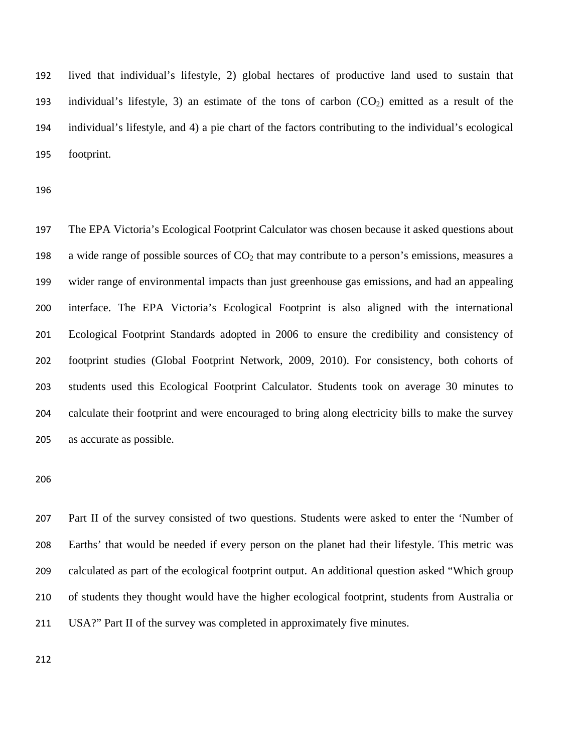lived that individual's lifestyle, 2) global hectares of productive land used to sustain that 193 individual's lifestyle, 3) an estimate of the tons of carbon  $(CO_2)$  emitted as a result of the individual's lifestyle, and 4) a pie chart of the factors contributing to the individual's ecological footprint.

The EPA Victoria's Ecological Footprint Calculator was chosen because it asked questions about 198 a wide range of possible sources of  $CO<sub>2</sub>$  that may contribute to a person's emissions, measures a wider range of environmental impacts than just greenhouse gas emissions, and had an appealing interface. The EPA Victoria's Ecological Footprint is also aligned with the international Ecological Footprint Standards adopted in 2006 to ensure the credibility and consistency of footprint studies (Global Footprint Network, 2009, 2010). For consistency, both cohorts of students used this Ecological Footprint Calculator. Students took on average 30 minutes to calculate their footprint and were encouraged to bring along electricity bills to make the survey as accurate as possible.

Part II of the survey consisted of two questions. Students were asked to enter the 'Number of Earths' that would be needed if every person on the planet had their lifestyle. This metric was calculated as part of the ecological footprint output. An additional question asked "Which group of students they thought would have the higher ecological footprint, students from Australia or USA?" Part II of the survey was completed in approximately five minutes.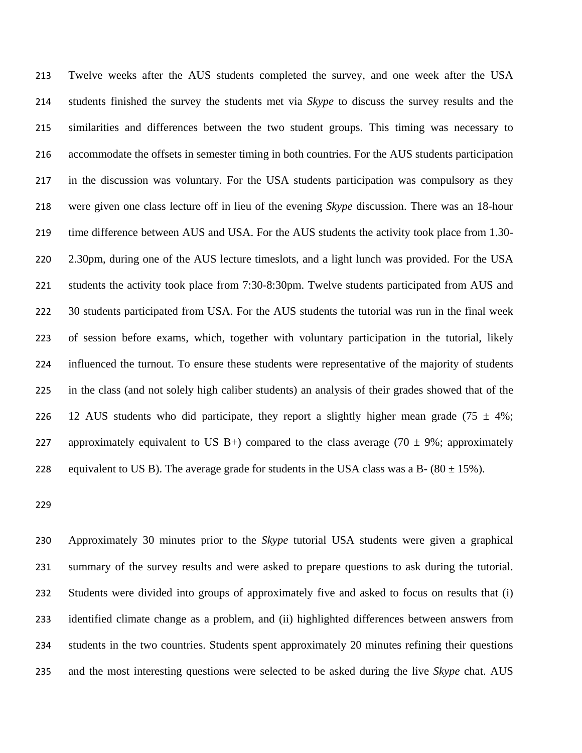Twelve weeks after the AUS students completed the survey, and one week after the USA students finished the survey the students met via *Skype* to discuss the survey results and the similarities and differences between the two student groups. This timing was necessary to accommodate the offsets in semester timing in both countries. For the AUS students participation in the discussion was voluntary. For the USA students participation was compulsory as they were given one class lecture off in lieu of the evening *Skype* discussion. There was an 18-hour time difference between AUS and USA. For the AUS students the activity took place from 1.30- 2.30pm, during one of the AUS lecture timeslots, and a light lunch was provided. For the USA students the activity took place from 7:30-8:30pm. Twelve students participated from AUS and 222 30 students participated from USA. For the AUS students the tutorial was run in the final week of session before exams, which, together with voluntary participation in the tutorial, likely influenced the turnout. To ensure these students were representative of the majority of students in the class (and not solely high caliber students) an analysis of their grades showed that of the 226 12 AUS students who did participate, they report a slightly higher mean grade (75  $\pm$  4%; 227 approximately equivalent to US B+) compared to the class average (70  $\pm$  9%; approximately 228 equivalent to US B). The average grade for students in the USA class was a B-  $(80 \pm 15\%)$ .

Approximately 30 minutes prior to the *Skype* tutorial USA students were given a graphical summary of the survey results and were asked to prepare questions to ask during the tutorial. Students were divided into groups of approximately five and asked to focus on results that (i) identified climate change as a problem, and (ii) highlighted differences between answers from students in the two countries. Students spent approximately 20 minutes refining their questions and the most interesting questions were selected to be asked during the live *Skype* chat. AUS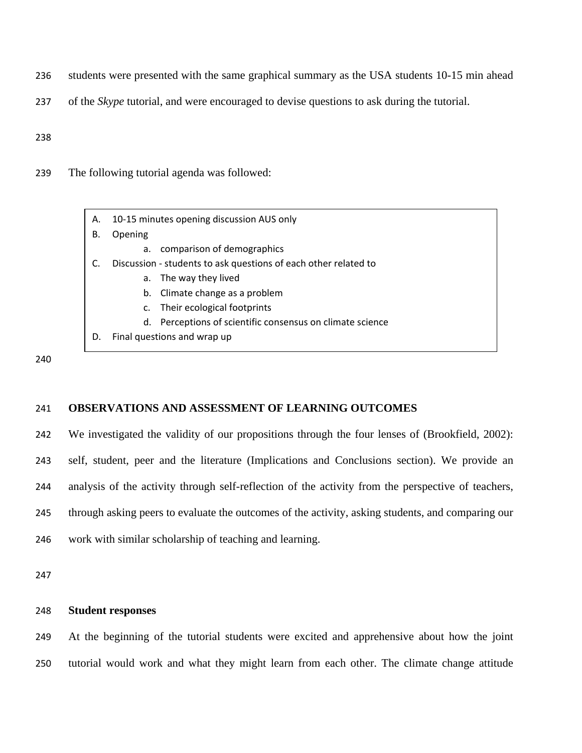- 236 students were presented with the same graphical summary as the USA students 10-15 min ahead
- 237 of the *Skype* tutorial, and were encouraged to devise questions to ask during the tutorial.

238

239 The following tutorial agenda was followed:

| А. | 10-15 minutes opening discussion AUS only                       |  |  |
|----|-----------------------------------------------------------------|--|--|
| В. | Opening                                                         |  |  |
|    | comparison of demographics<br>a.                                |  |  |
|    | Discussion - students to ask questions of each other related to |  |  |
|    | The way they lived<br>а.                                        |  |  |
|    | b. Climate change as a problem                                  |  |  |
|    | Their ecological footprints<br>c.                               |  |  |
|    | d. Perceptions of scientific consensus on climate science       |  |  |
| D. | Final questions and wrap up                                     |  |  |
|    |                                                                 |  |  |

240

#### 241 **OBSERVATIONS AND ASSESSMENT OF LEARNING OUTCOMES**

242 We investigated the validity of our propositions through the four lenses of (Brookfield, 2002): self, student, peer and the literature (Implications and Conclusions section). We provide an analysis of the activity through self-reflection of the activity from the perspective of teachers, through asking peers to evaluate the outcomes of the activity, asking students, and comparing our work with similar scholarship of teaching and learning.

247

#### 248 **Student responses**

249 At the beginning of the tutorial students were excited and apprehensive about how the joint 250 tutorial would work and what they might learn from each other. The climate change attitude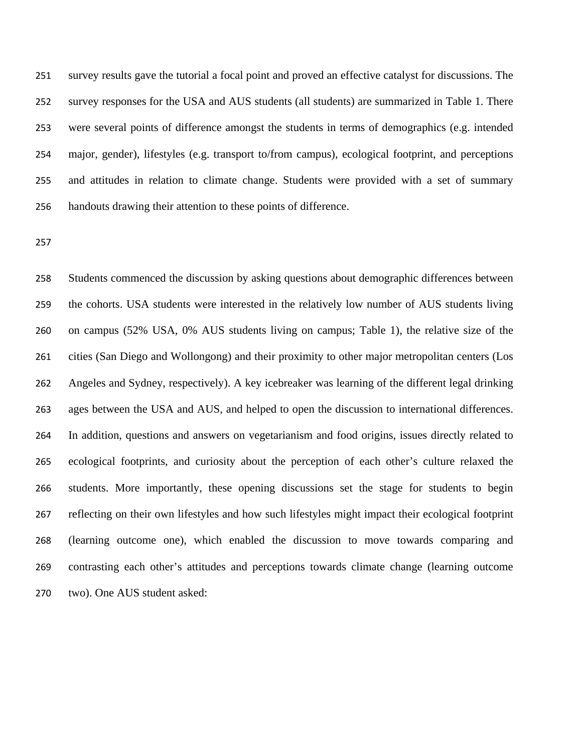survey results gave the tutorial a focal point and proved an effective catalyst for discussions. The survey responses for the USA and AUS students (all students) are summarized in Table 1. There were several points of difference amongst the students in terms of demographics (e.g. intended major, gender), lifestyles (e.g. transport to/from campus), ecological footprint, and perceptions and attitudes in relation to climate change. Students were provided with a set of summary handouts drawing their attention to these points of difference.

Students commenced the discussion by asking questions about demographic differences between the cohorts. USA students were interested in the relatively low number of AUS students living on campus (52% USA, 0% AUS students living on campus; Table 1), the relative size of the cities (San Diego and Wollongong) and their proximity to other major metropolitan centers (Los Angeles and Sydney, respectively). A key icebreaker was learning of the different legal drinking ages between the USA and AUS, and helped to open the discussion to international differences. In addition, questions and answers on vegetarianism and food origins, issues directly related to ecological footprints, and curiosity about the perception of each other's culture relaxed the students. More importantly, these opening discussions set the stage for students to begin reflecting on their own lifestyles and how such lifestyles might impact their ecological footprint (learning outcome one), which enabled the discussion to move towards comparing and contrasting each other's attitudes and perceptions towards climate change (learning outcome two). One AUS student asked: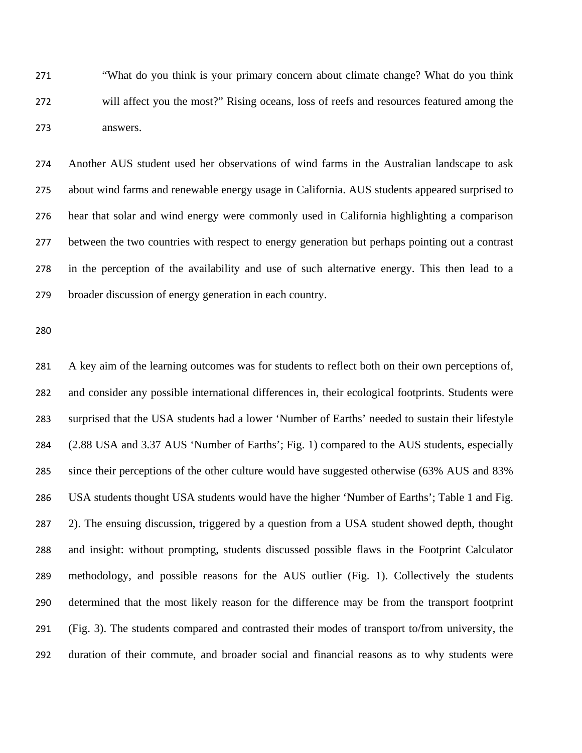"What do you think is your primary concern about climate change? What do you think will affect you the most?" Rising oceans, loss of reefs and resources featured among the answers.

Another AUS student used her observations of wind farms in the Australian landscape to ask about wind farms and renewable energy usage in California. AUS students appeared surprised to hear that solar and wind energy were commonly used in California highlighting a comparison between the two countries with respect to energy generation but perhaps pointing out a contrast in the perception of the availability and use of such alternative energy. This then lead to a broader discussion of energy generation in each country.

A key aim of the learning outcomes was for students to reflect both on their own perceptions of, and consider any possible international differences in, their ecological footprints. Students were surprised that the USA students had a lower 'Number of Earths' needed to sustain their lifestyle (2.88 USA and 3.37 AUS 'Number of Earths'; Fig. 1) compared to the AUS students, especially since their perceptions of the other culture would have suggested otherwise (63% AUS and 83% USA students thought USA students would have the higher 'Number of Earths'; Table 1 and Fig. 2). The ensuing discussion, triggered by a question from a USA student showed depth, thought and insight: without prompting, students discussed possible flaws in the Footprint Calculator methodology, and possible reasons for the AUS outlier (Fig. 1). Collectively the students determined that the most likely reason for the difference may be from the transport footprint (Fig. 3). The students compared and contrasted their modes of transport to/from university, the duration of their commute, and broader social and financial reasons as to why students were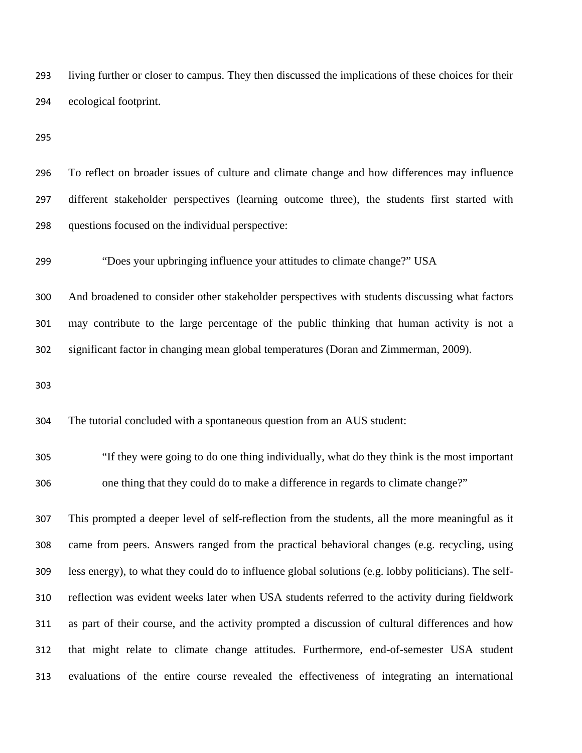living further or closer to campus. They then discussed the implications of these choices for their ecological footprint.

To reflect on broader issues of culture and climate change and how differences may influence different stakeholder perspectives (learning outcome three), the students first started with questions focused on the individual perspective:

"Does your upbringing influence your attitudes to climate change?" USA

And broadened to consider other stakeholder perspectives with students discussing what factors may contribute to the large percentage of the public thinking that human activity is not a significant factor in changing mean global temperatures (Doran and Zimmerman, 2009).

The tutorial concluded with a spontaneous question from an AUS student:

"If they were going to do one thing individually, what do they think is the most important one thing that they could do to make a difference in regards to climate change?"

This prompted a deeper level of self-reflection from the students, all the more meaningful as it came from peers. Answers ranged from the practical behavioral changes (e.g. recycling, using less energy), to what they could do to influence global solutions (e.g. lobby politicians). The self-reflection was evident weeks later when USA students referred to the activity during fieldwork as part of their course, and the activity prompted a discussion of cultural differences and how that might relate to climate change attitudes. Furthermore, end-of-semester USA student evaluations of the entire course revealed the effectiveness of integrating an international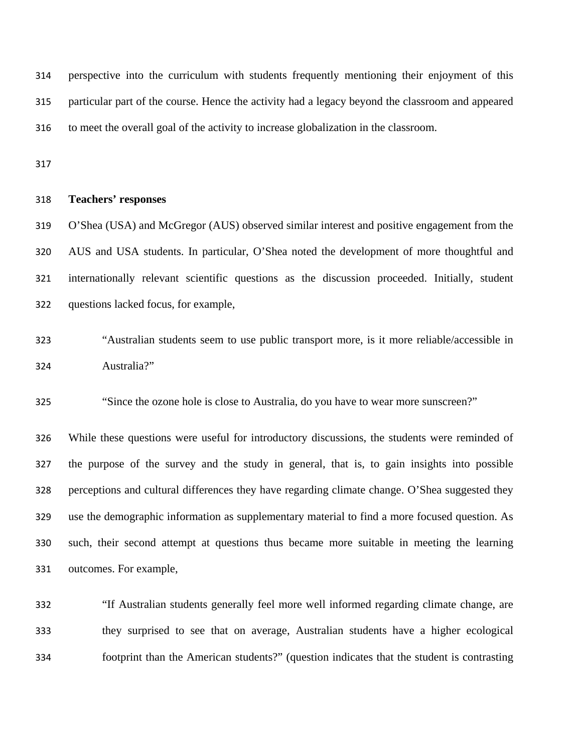perspective into the curriculum with students frequently mentioning their enjoyment of this particular part of the course. Hence the activity had a legacy beyond the classroom and appeared to meet the overall goal of the activity to increase globalization in the classroom.

#### **Teachers' responses**

O'Shea (USA) and McGregor (AUS) observed similar interest and positive engagement from the AUS and USA students. In particular, O'Shea noted the development of more thoughtful and internationally relevant scientific questions as the discussion proceeded. Initially, student questions lacked focus, for example,

"Australian students seem to use public transport more, is it more reliable/accessible in Australia?"

"Since the ozone hole is close to Australia, do you have to wear more sunscreen?"

While these questions were useful for introductory discussions, the students were reminded of the purpose of the survey and the study in general, that is, to gain insights into possible perceptions and cultural differences they have regarding climate change. O'Shea suggested they use the demographic information as supplementary material to find a more focused question. As such, their second attempt at questions thus became more suitable in meeting the learning outcomes. For example,

"If Australian students generally feel more well informed regarding climate change, are they surprised to see that on average, Australian students have a higher ecological footprint than the American students?" (question indicates that the student is contrasting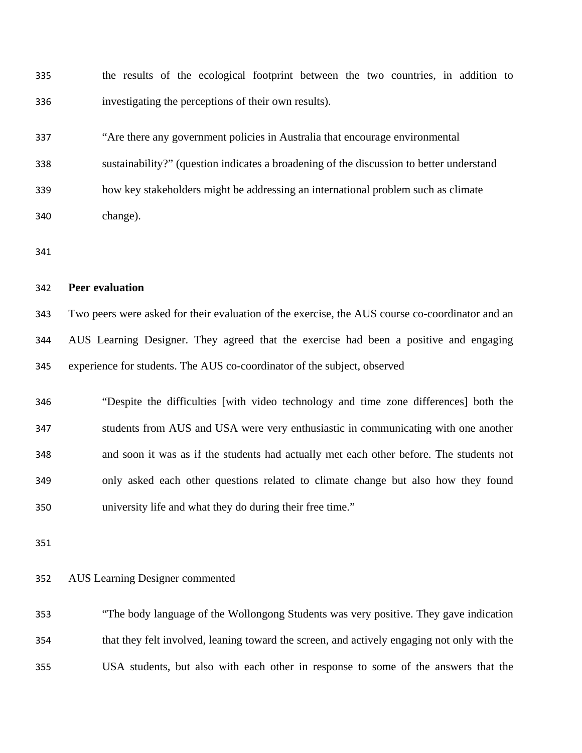the results of the ecological footprint between the two countries, in addition to investigating the perceptions of their own results).

"Are there any government policies in Australia that encourage environmental

sustainability?" (question indicates a broadening of the discussion to better understand

how key stakeholders might be addressing an international problem such as climate

change).

#### **Peer evaluation**

Two peers were asked for their evaluation of the exercise, the AUS course co-coordinator and an AUS Learning Designer. They agreed that the exercise had been a positive and engaging experience for students. The AUS co-coordinator of the subject, observed

"Despite the difficulties [with video technology and time zone differences] both the students from AUS and USA were very enthusiastic in communicating with one another and soon it was as if the students had actually met each other before. The students not only asked each other questions related to climate change but also how they found university life and what they do during their free time."

#### AUS Learning Designer commented

"The body language of the Wollongong Students was very positive. They gave indication that they felt involved, leaning toward the screen, and actively engaging not only with the USA students, but also with each other in response to some of the answers that the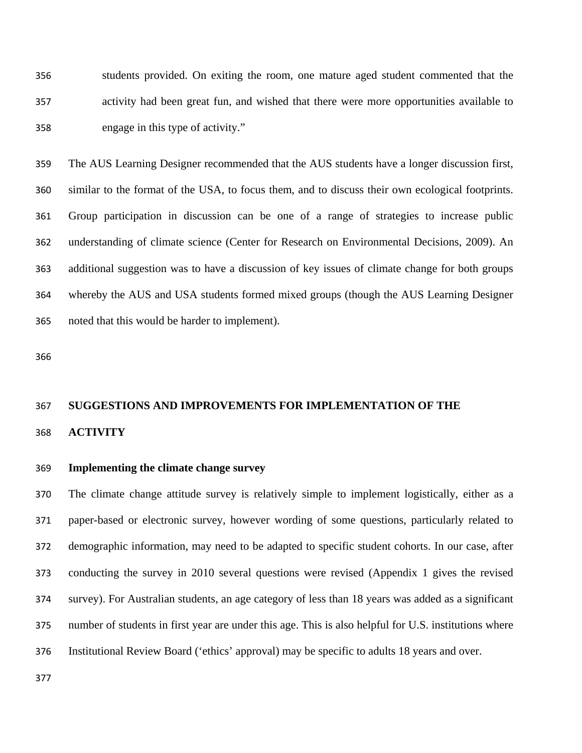students provided. On exiting the room, one mature aged student commented that the activity had been great fun, and wished that there were more opportunities available to engage in this type of activity."

The AUS Learning Designer recommended that the AUS students have a longer discussion first, similar to the format of the USA, to focus them, and to discuss their own ecological footprints. Group participation in discussion can be one of a range of strategies to increase public understanding of climate science (Center for Research on Environmental Decisions, 2009). An additional suggestion was to have a discussion of key issues of climate change for both groups whereby the AUS and USA students formed mixed groups (though the AUS Learning Designer noted that this would be harder to implement).

## **SUGGESTIONS AND IMPROVEMENTS FOR IMPLEMENTATION OF THE**

#### **ACTIVITY**

#### **Implementing the climate change survey**

The climate change attitude survey is relatively simple to implement logistically, either as a paper-based or electronic survey, however wording of some questions, particularly related to demographic information, may need to be adapted to specific student cohorts. In our case, after conducting the survey in 2010 several questions were revised (Appendix 1 gives the revised survey). For Australian students, an age category of less than 18 years was added as a significant number of students in first year are under this age. This is also helpful for U.S. institutions where Institutional Review Board ('ethics' approval) may be specific to adults 18 years and over.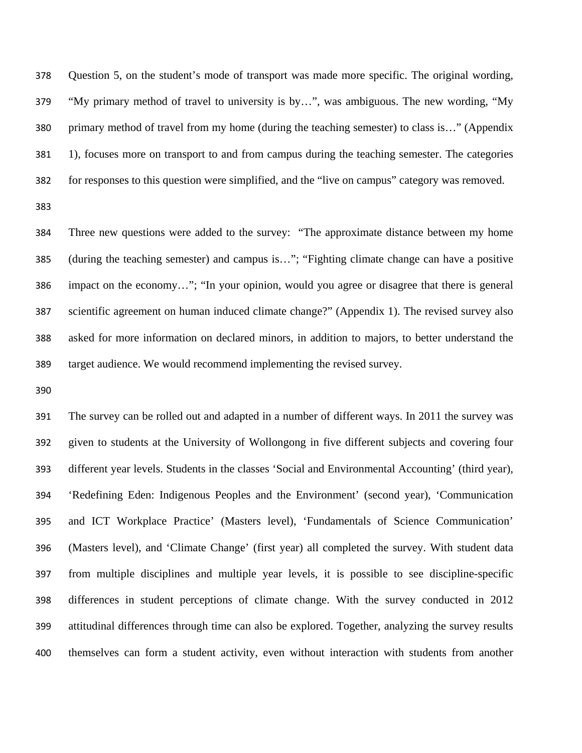Question 5, on the student's mode of transport was made more specific. The original wording, "My primary method of travel to university is by…", was ambiguous. The new wording, "My primary method of travel from my home (during the teaching semester) to class is…" (Appendix 1), focuses more on transport to and from campus during the teaching semester. The categories for responses to this question were simplified, and the "live on campus" category was removed.

Three new questions were added to the survey: "The approximate distance between my home (during the teaching semester) and campus is…"; "Fighting climate change can have a positive impact on the economy…"; "In your opinion, would you agree or disagree that there is general scientific agreement on human induced climate change?" (Appendix 1). The revised survey also asked for more information on declared minors, in addition to majors, to better understand the target audience. We would recommend implementing the revised survey.

The survey can be rolled out and adapted in a number of different ways. In 2011 the survey was given to students at the University of Wollongong in five different subjects and covering four different year levels. Students in the classes 'Social and Environmental Accounting' (third year), 'Redefining Eden: Indigenous Peoples and the Environment' (second year), 'Communication and ICT Workplace Practice' (Masters level), 'Fundamentals of Science Communication' (Masters level), and 'Climate Change' (first year) all completed the survey. With student data from multiple disciplines and multiple year levels, it is possible to see discipline-specific differences in student perceptions of climate change. With the survey conducted in 2012 attitudinal differences through time can also be explored. Together, analyzing the survey results themselves can form a student activity, even without interaction with students from another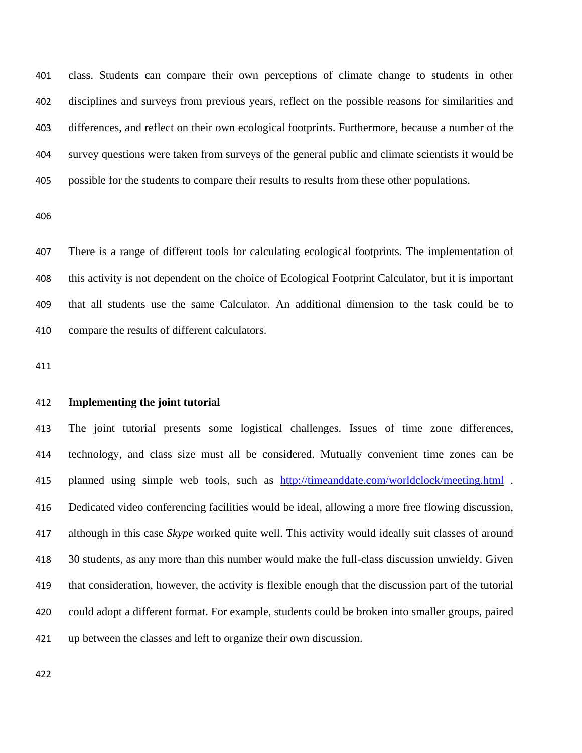class. Students can compare their own perceptions of climate change to students in other disciplines and surveys from previous years, reflect on the possible reasons for similarities and differences, and reflect on their own ecological footprints. Furthermore, because a number of the survey questions were taken from surveys of the general public and climate scientists it would be possible for the students to compare their results to results from these other populations.

There is a range of different tools for calculating ecological footprints. The implementation of this activity is not dependent on the choice of Ecological Footprint Calculator, but it is important that all students use the same Calculator. An additional dimension to the task could be to compare the results of different calculators.

#### **Implementing the joint tutorial**

The joint tutorial presents some logistical challenges. Issues of time zone differences, technology, and class size must all be considered. Mutually convenient time zones can be 415 planned using simple web tools, such as http://timeanddate.com/worldclock/meeting.html . Dedicated video conferencing facilities would be ideal, allowing a more free flowing discussion, although in this case *Skype* worked quite well. This activity would ideally suit classes of around 30 students, as any more than this number would make the full-class discussion unwieldy. Given that consideration, however, the activity is flexible enough that the discussion part of the tutorial could adopt a different format. For example, students could be broken into smaller groups, paired up between the classes and left to organize their own discussion.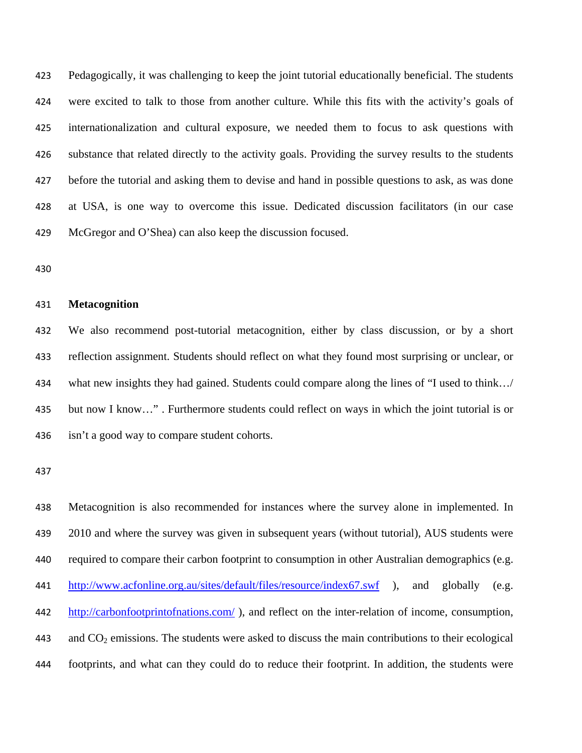Pedagogically, it was challenging to keep the joint tutorial educationally beneficial. The students were excited to talk to those from another culture. While this fits with the activity's goals of internationalization and cultural exposure, we needed them to focus to ask questions with substance that related directly to the activity goals. Providing the survey results to the students before the tutorial and asking them to devise and hand in possible questions to ask, as was done at USA, is one way to overcome this issue. Dedicated discussion facilitators (in our case McGregor and O'Shea) can also keep the discussion focused.

#### **Metacognition**

We also recommend post-tutorial metacognition, either by class discussion, or by a short reflection assignment. Students should reflect on what they found most surprising or unclear, or what new insights they had gained. Students could compare along the lines of "I used to think…/ but now I know…" . Furthermore students could reflect on ways in which the joint tutorial is or isn't a good way to compare student cohorts.

Metacognition is also recommended for instances where the survey alone in implemented. In 439 2010 and where the survey was given in subsequent years (without tutorial), AUS students were required to compare their carbon footprint to consumption in other Australian demographics (e.g. http://www.acfonline.org.au/sites/default/files/resource/index67.swf ), and globally (e.g. http://carbonfootprintofnations.com/ ), and reflect on the inter-relation of income, consumption, 443 and  $CO<sub>2</sub>$  emissions. The students were asked to discuss the main contributions to their ecological footprints, and what can they could do to reduce their footprint. In addition, the students were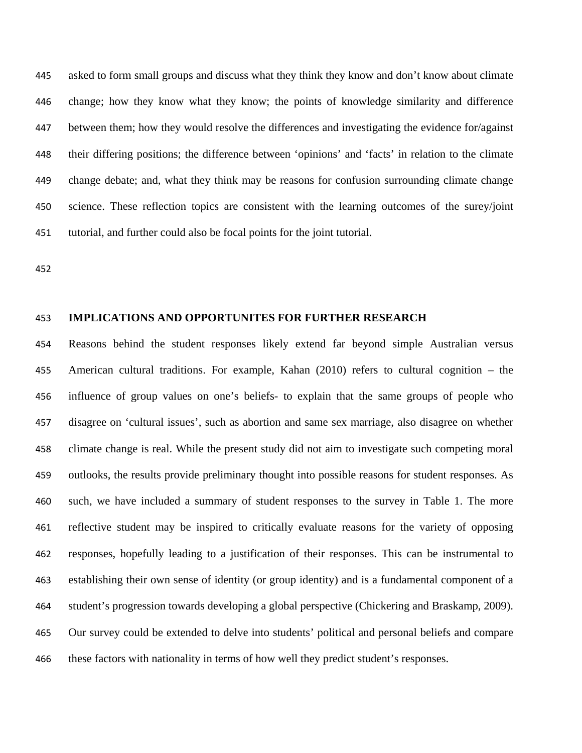asked to form small groups and discuss what they think they know and don't know about climate change; how they know what they know; the points of knowledge similarity and difference between them; how they would resolve the differences and investigating the evidence for/against their differing positions; the difference between 'opinions' and 'facts' in relation to the climate change debate; and, what they think may be reasons for confusion surrounding climate change science. These reflection topics are consistent with the learning outcomes of the surey/joint tutorial, and further could also be focal points for the joint tutorial.

#### **IMPLICATIONS AND OPPORTUNITES FOR FURTHER RESEARCH**

Reasons behind the student responses likely extend far beyond simple Australian versus American cultural traditions. For example, Kahan (2010) refers to cultural cognition – the influence of group values on one's beliefs- to explain that the same groups of people who disagree on 'cultural issues', such as abortion and same sex marriage, also disagree on whether climate change is real. While the present study did not aim to investigate such competing moral outlooks, the results provide preliminary thought into possible reasons for student responses. As such, we have included a summary of student responses to the survey in Table 1. The more reflective student may be inspired to critically evaluate reasons for the variety of opposing responses, hopefully leading to a justification of their responses. This can be instrumental to establishing their own sense of identity (or group identity) and is a fundamental component of a student's progression towards developing a global perspective (Chickering and Braskamp, 2009). Our survey could be extended to delve into students' political and personal beliefs and compare these factors with nationality in terms of how well they predict student's responses.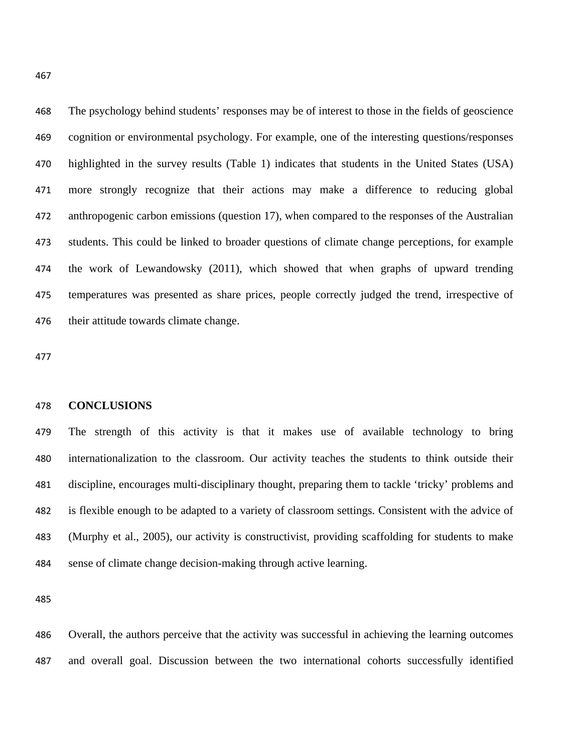The psychology behind students' responses may be of interest to those in the fields of geoscience cognition or environmental psychology. For example, one of the interesting questions/responses highlighted in the survey results (Table 1) indicates that students in the United States (USA) more strongly recognize that their actions may make a difference to reducing global anthropogenic carbon emissions (question 17), when compared to the responses of the Australian students. This could be linked to broader questions of climate change perceptions, for example the work of Lewandowsky (2011), which showed that when graphs of upward trending temperatures was presented as share prices, people correctly judged the trend, irrespective of their attitude towards climate change.

#### **CONCLUSIONS**

The strength of this activity is that it makes use of available technology to bring internationalization to the classroom. Our activity teaches the students to think outside their discipline, encourages multi-disciplinary thought, preparing them to tackle 'tricky' problems and is flexible enough to be adapted to a variety of classroom settings. Consistent with the advice of (Murphy et al., 2005), our activity is constructivist, providing scaffolding for students to make sense of climate change decision-making through active learning.

Overall, the authors perceive that the activity was successful in achieving the learning outcomes and overall goal. Discussion between the two international cohorts successfully identified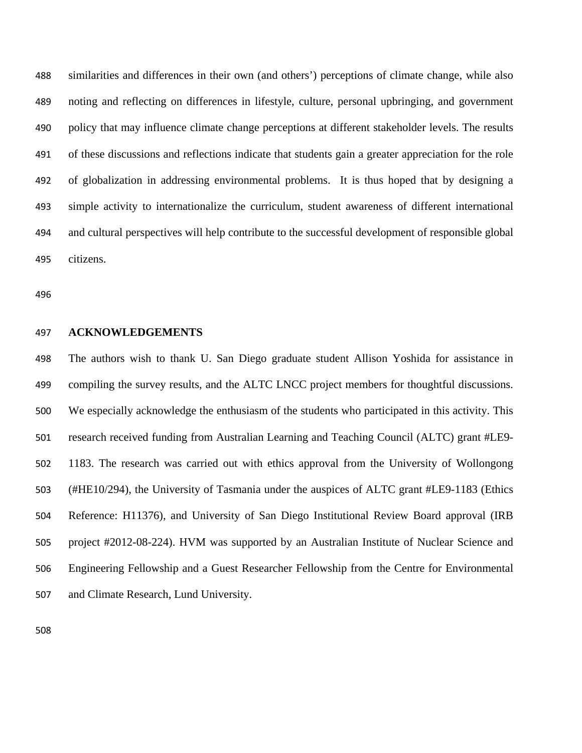similarities and differences in their own (and others') perceptions of climate change, while also noting and reflecting on differences in lifestyle, culture, personal upbringing, and government policy that may influence climate change perceptions at different stakeholder levels. The results of these discussions and reflections indicate that students gain a greater appreciation for the role of globalization in addressing environmental problems. It is thus hoped that by designing a simple activity to internationalize the curriculum, student awareness of different international and cultural perspectives will help contribute to the successful development of responsible global citizens.

#### **ACKNOWLEDGEMENTS**

The authors wish to thank U. San Diego graduate student Allison Yoshida for assistance in compiling the survey results, and the ALTC LNCC project members for thoughtful discussions. We especially acknowledge the enthusiasm of the students who participated in this activity. This research received funding from Australian Learning and Teaching Council (ALTC) grant #LE9- 1183. The research was carried out with ethics approval from the University of Wollongong (#HE10/294), the University of Tasmania under the auspices of ALTC grant #LE9-1183 (Ethics Reference: H11376), and University of San Diego Institutional Review Board approval (IRB project #2012-08-224). HVM was supported by an Australian Institute of Nuclear Science and Engineering Fellowship and a Guest Researcher Fellowship from the Centre for Environmental and Climate Research, Lund University.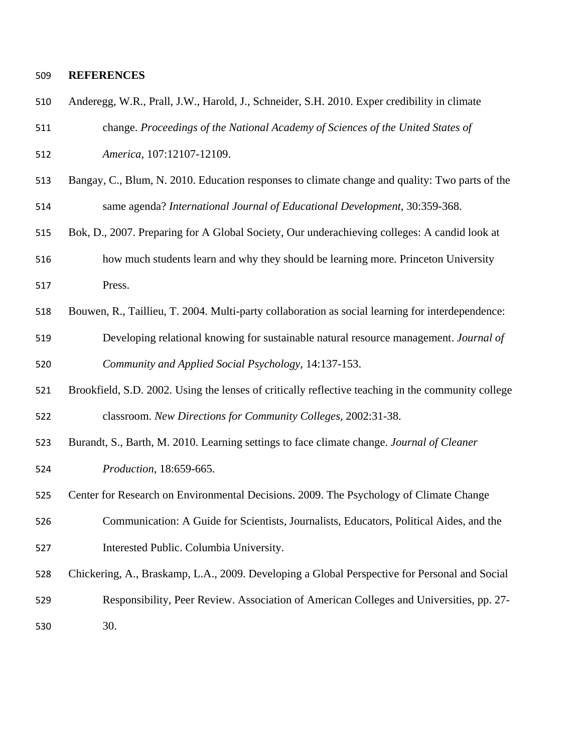### **REFERENCES**

| 510 | Anderegg, W.R., Prall, J.W., Harold, J., Schneider, S.H. 2010. Exper credibility in climate        |
|-----|----------------------------------------------------------------------------------------------------|
| 511 | change. Proceedings of the National Academy of Sciences of the United States of                    |
| 512 | America, 107:12107-12109.                                                                          |
| 513 | Bangay, C., Blum, N. 2010. Education responses to climate change and quality: Two parts of the     |
| 514 | same agenda? International Journal of Educational Development, 30:359-368.                         |
| 515 | Bok, D., 2007. Preparing for A Global Society, Our underachieving colleges: A candid look at       |
| 516 | how much students learn and why they should be learning more. Princeton University                 |
| 517 | Press.                                                                                             |
| 518 | Bouwen, R., Taillieu, T. 2004. Multi-party collaboration as social learning for interdependence:   |
| 519 | Developing relational knowing for sustainable natural resource management. Journal of              |
| 520 | Community and Applied Social Psychology, 14:137-153.                                               |
| 521 | Brookfield, S.D. 2002. Using the lenses of critically reflective teaching in the community college |
| 522 | classroom. New Directions for Community Colleges, 2002:31-38.                                      |
| 523 | Burandt, S., Barth, M. 2010. Learning settings to face climate change. Journal of Cleaner          |
| 524 | Production, 18:659-665.                                                                            |
| 525 | Center for Research on Environmental Decisions. 2009. The Psychology of Climate Change             |
| 526 | Communication: A Guide for Scientists, Journalists, Educators, Political Aides, and the            |
| 527 | Interested Public. Columbia University.                                                            |
| 528 | Chickering, A., Braskamp, L.A., 2009. Developing a Global Perspective for Personal and Social      |
| 529 | Responsibility, Peer Review. Association of American Colleges and Universities, pp. 27-            |
| 530 | 30.                                                                                                |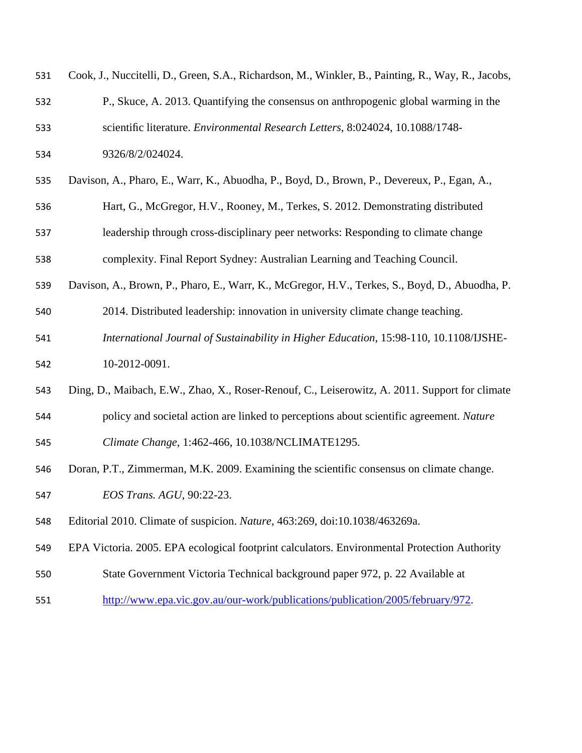| 531 | Cook, J., Nuccitelli, D., Green, S.A., Richardson, M., Winkler, B., Painting, R., Way, R., Jacobs, |
|-----|----------------------------------------------------------------------------------------------------|
| 532 | P., Skuce, A. 2013. Quantifying the consensus on anthropogenic global warming in the               |
| 533 | scientific literature. Environmental Research Letters, 8:024024, 10.1088/1748-                     |
| 534 | 9326/8/2/024024.                                                                                   |
| 535 | Davison, A., Pharo, E., Warr, K., Abuodha, P., Boyd, D., Brown, P., Devereux, P., Egan, A.,        |
| 536 | Hart, G., McGregor, H.V., Rooney, M., Terkes, S. 2012. Demonstrating distributed                   |
| 537 | leadership through cross-disciplinary peer networks: Responding to climate change                  |
| 538 | complexity. Final Report Sydney: Australian Learning and Teaching Council.                         |
| 539 | Davison, A., Brown, P., Pharo, E., Warr, K., McGregor, H.V., Terkes, S., Boyd, D., Abuodha, P.     |
| 540 | 2014. Distributed leadership: innovation in university climate change teaching.                    |
| 541 | International Journal of Sustainability in Higher Education, 15:98-110, 10.1108/IJSHE-             |
| 542 | 10-2012-0091.                                                                                      |
| 543 | Ding, D., Maibach, E.W., Zhao, X., Roser-Renouf, C., Leiserowitz, A. 2011. Support for climate     |
| 544 | policy and societal action are linked to perceptions about scientific agreement. Nature            |
| 545 | Climate Change, 1:462-466, 10.1038/NCLIMATE1295.                                                   |
| 546 | Doran, P.T., Zimmerman, M.K. 2009. Examining the scientific consensus on climate change.           |
| 547 | EOS Trans. AGU, 90:22-23.                                                                          |
| 548 | Editorial 2010. Climate of suspicion. Nature, 463:269, doi:10.1038/463269a.                        |
| 549 | EPA Victoria. 2005. EPA ecological footprint calculators. Environmental Protection Authority       |
| 550 | State Government Victoria Technical background paper 972, p. 22 Available at                       |
| 551 | http://www.epa.vic.gov.au/our-work/publications/publication/2005/february/972.                     |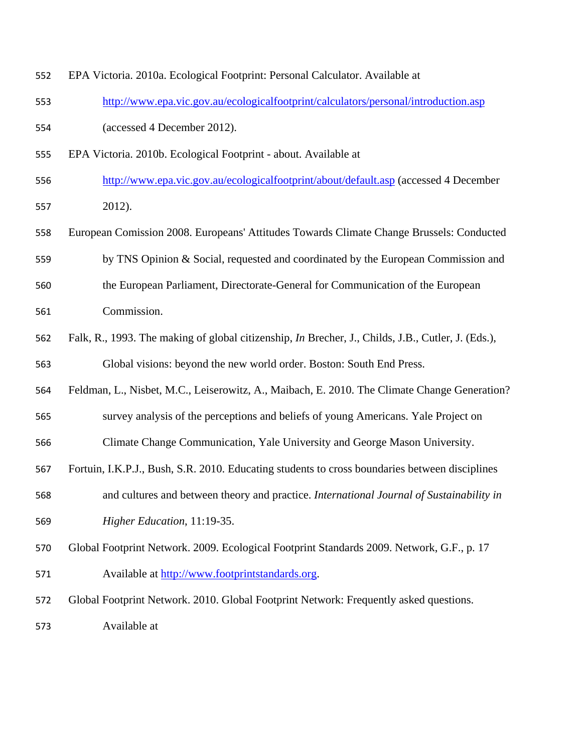| 553 | http://www.epa.vic.gov.au/ecologicalfootprint/calculators/personal/introduction.asp                       |  |  |  |  |
|-----|-----------------------------------------------------------------------------------------------------------|--|--|--|--|
| 554 | (accessed 4 December 2012).                                                                               |  |  |  |  |
| 555 | EPA Victoria. 2010b. Ecological Footprint - about. Available at                                           |  |  |  |  |
| 556 | http://www.epa.vic.gov.au/ecologicalfootprint/about/default.asp (accessed 4 December                      |  |  |  |  |
| 557 | 2012).                                                                                                    |  |  |  |  |
| 558 | European Comission 2008. Europeans' Attitudes Towards Climate Change Brussels: Conducted                  |  |  |  |  |
| 559 | by TNS Opinion & Social, requested and coordinated by the European Commission and                         |  |  |  |  |
| 560 | the European Parliament, Directorate-General for Communication of the European                            |  |  |  |  |
| 561 | Commission.                                                                                               |  |  |  |  |
| 562 | Falk, R., 1993. The making of global citizenship, <i>In</i> Brecher, J., Childs, J.B., Cutler, J. (Eds.), |  |  |  |  |
| 563 | Global visions: beyond the new world order. Boston: South End Press.                                      |  |  |  |  |
| 564 | Feldman, L., Nisbet, M.C., Leiserowitz, A., Maibach, E. 2010. The Climate Change Generation?              |  |  |  |  |
| 565 | survey analysis of the perceptions and beliefs of young Americans. Yale Project on                        |  |  |  |  |
| 566 | Climate Change Communication, Yale University and George Mason University.                                |  |  |  |  |
| 567 | Fortuin, I.K.P.J., Bush, S.R. 2010. Educating students to cross boundaries between disciplines            |  |  |  |  |
| 568 | and cultures and between theory and practice. International Journal of Sustainability in                  |  |  |  |  |
| 569 | Higher Education, 11:19-35.                                                                               |  |  |  |  |
| 570 | Global Footprint Network. 2009. Ecological Footprint Standards 2009. Network, G.F., p. 17                 |  |  |  |  |
| 571 | Available at http://www.footprintstandards.org.                                                           |  |  |  |  |
| 572 | Global Footprint Network. 2010. Global Footprint Network: Frequently asked questions.                     |  |  |  |  |
| 573 | Available at                                                                                              |  |  |  |  |

EPA Victoria. 2010a. Ecological Footprint: Personal Calculator. Available at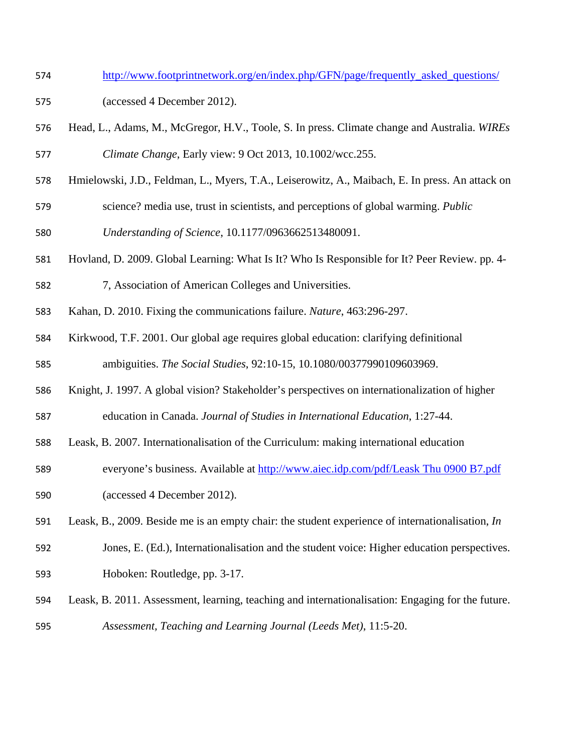- http://www.footprintnetwork.org/en/index.php/GFN/page/frequently\_asked\_questions/
- (accessed 4 December 2012).
- Head, L., Adams, M., McGregor, H.V., Toole, S. In press. Climate change and Australia. *WIREs Climate Change*, Early view: 9 Oct 2013, 10.1002/wcc.255.
- Hmielowski, J.D., Feldman, L., Myers, T.A., Leiserowitz, A., Maibach, E. In press. An attack on science? media use, trust in scientists, and perceptions of global warming. *Public*
- *Understanding of Science*, 10.1177/0963662513480091.
- Hovland, D. 2009. Global Learning: What Is It? Who Is Responsible for It? Peer Review. pp. 4-
- 7, Association of American Colleges and Universities.
- Kahan, D. 2010. Fixing the communications failure. *Nature*, 463:296-297.
- Kirkwood, T.F. 2001. Our global age requires global education: clarifying definitional ambiguities. *The Social Studies*, 92:10-15, 10.1080/00377990109603969.
- Knight, J. 1997. A global vision? Stakeholder's perspectives on internationalization of higher education in Canada. *Journal of Studies in International Education*, 1:27-44.
- Leask, B. 2007. Internationalisation of the Curriculum: making international education
- everyone's business. Available at http://www.aiec.idp.com/pdf/Leask Thu 0900 B7.pdf (accessed 4 December 2012).
- Leask, B., 2009. Beside me is an empty chair: the student experience of internationalisation, *In*
- Jones, E. (Ed.), Internationalisation and the student voice: Higher education perspectives. Hoboken: Routledge, pp. 3-17.
- Leask, B. 2011. Assessment, learning, teaching and internationalisation: Engaging for the future. *Assessment, Teaching and Learning Journal (Leeds Met)*, 11:5-20.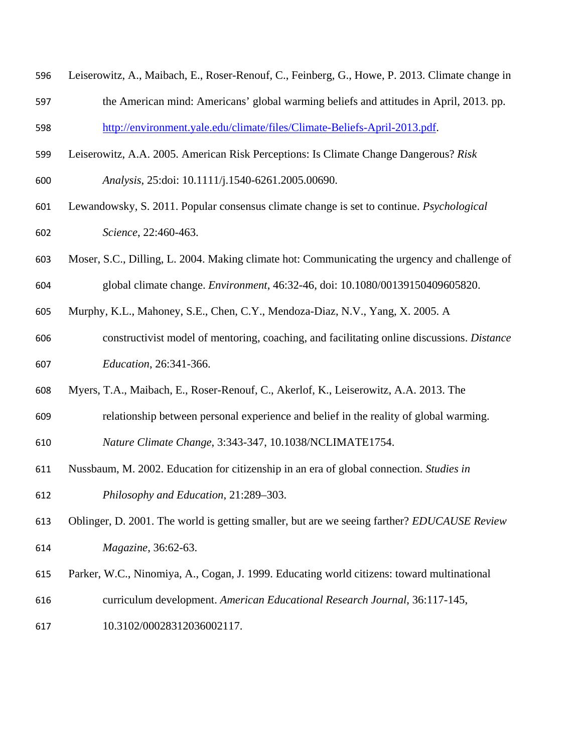- Leiserowitz, A., Maibach, E., Roser-Renouf, C., Feinberg, G., Howe, P. 2013. Climate change in
- the American mind: Americans' global warming beliefs and attitudes in April, 2013. pp. http://environment.yale.edu/climate/files/Climate-Beliefs-April-2013.pdf.
- Leiserowitz, A.A. 2005. American Risk Perceptions: Is Climate Change Dangerous? *Risk*
- *Analysis*, 25:doi: 10.1111/j.1540-6261.2005.00690.
- Lewandowsky, S. 2011. Popular consensus climate change is set to continue. *Psychological Science*, 22:460-463.
- Moser, S.C., Dilling, L. 2004. Making climate hot: Communicating the urgency and challenge of global climate change. *Environment*, 46:32-46, doi: 10.1080/00139150409605820.
- Murphy, K.L., Mahoney, S.E., Chen, C.Y., Mendoza-Diaz, N.V., Yang, X. 2005. A
- constructivist model of mentoring, coaching, and facilitating online discussions. *Distance Education*, 26:341-366.
- Myers, T.A., Maibach, E., Roser-Renouf, C., Akerlof, K., Leiserowitz, A.A. 2013. The
- relationship between personal experience and belief in the reality of global warming.
- *Nature Climate Change*, 3:343-347, 10.1038/NCLIMATE1754.
- Nussbaum, M. 2002. Education for citizenship in an era of global connection. *Studies in Philosophy and Education*, 21:289–303.
- Oblinger, D. 2001. The world is getting smaller, but are we seeing farther? *EDUCAUSE Review Magazine*, 36:62-63.
- Parker, W.C., Ninomiya, A., Cogan, J. 1999. Educating world citizens: toward multinational
- curriculum development. *American Educational Research Journal*, 36:117-145,
- 10.3102/00028312036002117.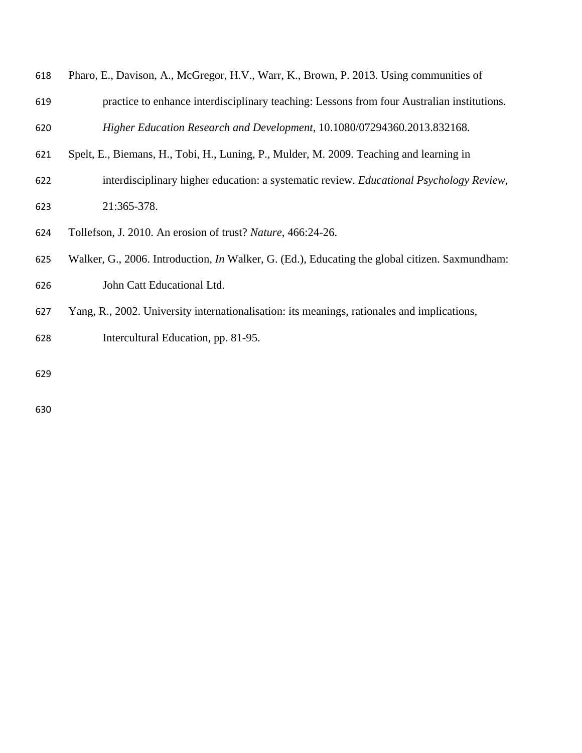| 618 | Pharo, E., Davison, A., McGregor, H.V., Warr, K., Brown, P. 2013. Using communities of                |
|-----|-------------------------------------------------------------------------------------------------------|
| 619 | practice to enhance interdisciplinary teaching: Lessons from four Australian institutions.            |
| 620 | Higher Education Research and Development, 10.1080/07294360.2013.832168.                              |
| 621 | Spelt, E., Biemans, H., Tobi, H., Luning, P., Mulder, M. 2009. Teaching and learning in               |
| 622 | interdisciplinary higher education: a systematic review. Educational Psychology Review,               |
| 623 | 21:365-378.                                                                                           |
| 624 | Tollefson, J. 2010. An erosion of trust? Nature, 466:24-26.                                           |
| 625 | Walker, G., 2006. Introduction, <i>In</i> Walker, G. (Ed.), Educating the global citizen. Saxmundham: |
| 626 | John Catt Educational Ltd.                                                                            |
| 627 | Yang, R., 2002. University internationalisation: its meanings, rationales and implications,           |
| 628 | Intercultural Education, pp. 81-95.                                                                   |
| 629 |                                                                                                       |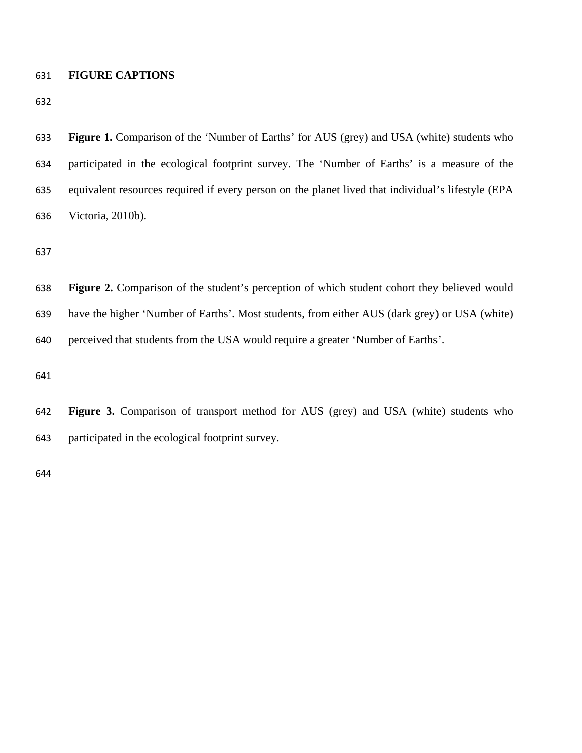### **FIGURE CAPTIONS**

| 633 | <b>Figure 1.</b> Comparison of the 'Number of Earths' for AUS (grey) and USA (white) students who   |
|-----|-----------------------------------------------------------------------------------------------------|
| 634 | participated in the ecological footprint survey. The 'Number of Earths' is a measure of the         |
| 635 | equivalent resources required if every person on the planet lived that individual's lifestyle (EPA  |
| 636 | Victoria, 2010b).                                                                                   |
| 637 |                                                                                                     |
| 638 | <b>Figure 2.</b> Comparison of the student's perception of which student cohort they believed would |
| 639 |                                                                                                     |
|     | have the higher 'Number of Earths'. Most students, from either AUS (dark grey) or USA (white)       |
| 640 | perceived that students from the USA would require a greater 'Number of Earths'.                    |
| 641 |                                                                                                     |

participated in the ecological footprint survey.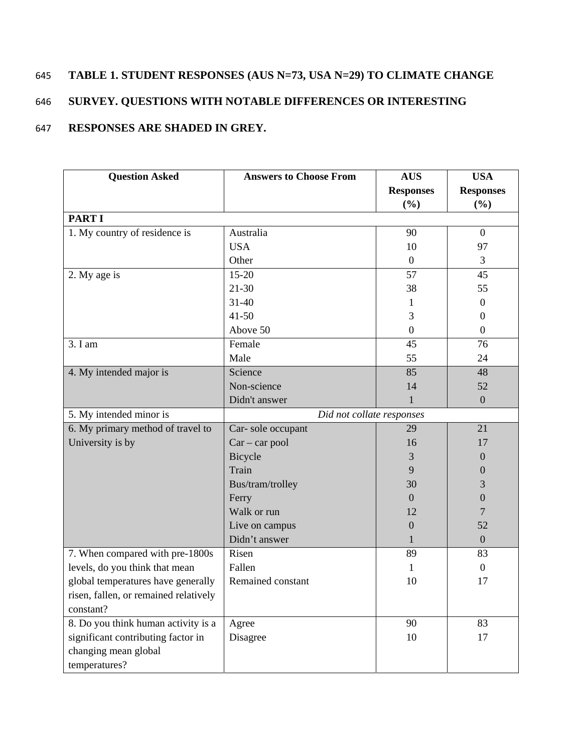## 645 **TABLE 1. STUDENT RESPONSES (AUS N=73, USA N=29) TO CLIMATE CHANGE**

## 646 **SURVEY. QUESTIONS WITH NOTABLE DIFFERENCES OR INTERESTING**

## 647 **RESPONSES ARE SHADED IN GREY.**

| <b>Question Asked</b>                 | <b>Answers to Choose From</b> | <b>AUS</b>       | <b>USA</b>       |
|---------------------------------------|-------------------------------|------------------|------------------|
|                                       |                               | <b>Responses</b> | <b>Responses</b> |
|                                       |                               | (%)              | (%)              |
| <b>PART I</b>                         |                               |                  |                  |
| 1. My country of residence is         | Australia                     | 90               | $\overline{0}$   |
|                                       | <b>USA</b>                    | 10               | 97               |
|                                       | Other                         | $\boldsymbol{0}$ | 3                |
| 2. My age is                          | $15 - 20$                     | 57               | 45               |
|                                       | $21 - 30$                     | 38               | 55               |
|                                       | $31 - 40$                     | 1                | $\mathbf{0}$     |
|                                       | $41 - 50$                     | 3                | $\overline{0}$   |
|                                       | Above 50                      | $\boldsymbol{0}$ | $\overline{0}$   |
| 3. I am                               | Female                        | 45               | 76               |
|                                       | Male                          | 55               | 24               |
| 4. My intended major is               | Science                       | 85               | 48               |
|                                       | Non-science                   | 14               | 52               |
|                                       | Didn't answer                 | $\mathbf{1}$     | $\overline{0}$   |
| 5. My intended minor is               | Did not collate responses     |                  |                  |
| 6. My primary method of travel to     | Car-sole occupant             | 29               | 21               |
| University is by                      | $Car - car pool$              | 16               | 17               |
|                                       | Bicycle                       | 3                | $\mathbf{0}$     |
|                                       | Train                         | 9                | $\theta$         |
|                                       | Bus/tram/trolley              | 30               | 3                |
|                                       | Ferry                         | $\Omega$         | $\boldsymbol{0}$ |
|                                       | Walk or run                   | 12               | 7                |
|                                       | Live on campus                | $\theta$         | 52               |
|                                       | Didn't answer                 | 1                | $\mathbf{0}$     |
| 7. When compared with pre-1800s       | Risen                         | 89               | 83               |
| levels, do you think that mean        | Fallen                        | 1                | $\overline{0}$   |
| global temperatures have generally    | Remained constant             | 10               | 17               |
| risen, fallen, or remained relatively |                               |                  |                  |
| constant?                             |                               |                  |                  |
| 8. Do you think human activity is a   | Agree                         | 90               | 83               |
| significant contributing factor in    | Disagree                      | 10               | 17               |
| changing mean global                  |                               |                  |                  |
| temperatures?                         |                               |                  |                  |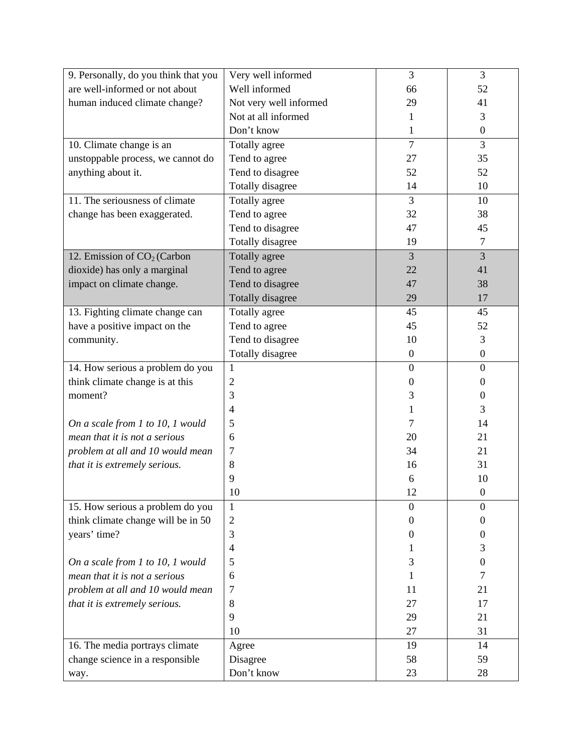| 9. Personally, do you think that you    | Very well informed     | 3                | 3                |
|-----------------------------------------|------------------------|------------------|------------------|
| are well-informed or not about          | Well informed          | 66               | 52               |
| human induced climate change?           | Not very well informed | 29               | 41               |
|                                         | Not at all informed    | 1                | 3                |
|                                         | Don't know             | 1                | $\boldsymbol{0}$ |
| 10. Climate change is an                | Totally agree          | $\overline{7}$   | 3                |
| unstoppable process, we cannot do       | Tend to agree          | 27               | 35               |
| anything about it.                      | Tend to disagree       | 52               | 52               |
|                                         | Totally disagree       | 14               | 10               |
| 11. The seriousness of climate          | Totally agree          | 3                | 10               |
| change has been exaggerated.            | Tend to agree          | 32               | 38               |
|                                         | Tend to disagree       | 47               | 45               |
|                                         | Totally disagree       | 19               | $\overline{7}$   |
| 12. Emission of CO <sub>2</sub> (Carbon | Totally agree          | 3                | 3                |
| dioxide) has only a marginal            | Tend to agree          | 22               | 41               |
| impact on climate change.               | Tend to disagree       | 47               | 38               |
|                                         | Totally disagree       | 29               | 17               |
| 13. Fighting climate change can         | Totally agree          | 45               | 45               |
| have a positive impact on the           | Tend to agree          | 45               | 52               |
| community.                              | Tend to disagree       | 10               | 3                |
|                                         | Totally disagree       | $\boldsymbol{0}$ | $\boldsymbol{0}$ |
| 14. How serious a problem do you        | $\mathbf{1}$           | $\overline{0}$   | $\overline{0}$   |
| think climate change is at this         | $\mathbf{2}$           | $\overline{0}$   | $\theta$         |
| moment?                                 | 3                      | 3                | $\theta$         |
|                                         | $\overline{4}$         | 1                | 3                |
| On a scale from 1 to 10, 1 would        | 5                      | 7                | 14               |
| mean that it is not a serious           | 6                      | 20               | 21               |
| problem at all and 10 would mean        | 7                      | 34               | 21               |
| that it is extremely serious.           | 8                      | 16               | 31               |
|                                         | 9                      | 6                | 10               |
|                                         | 10                     | 12               | $\boldsymbol{0}$ |
| 15. How serious a problem do you        | 1                      | $\overline{0}$   | $\theta$         |
| think climate change will be in 50      | 2                      | $\theta$         | $\theta$         |
| years' time?                            | 3                      | $\overline{0}$   | 0                |
|                                         | 4                      |                  | 3                |
| On a scale from 1 to 10, 1 would        | 5                      | 3                | 0                |
| mean that it is not a serious           | 6                      | 1                | 7                |
| problem at all and 10 would mean        | 7                      | 11               | 21               |
| that it is extremely serious.           | 8                      | 27               | 17               |
|                                         | 9                      | 29               | 21               |
|                                         | 10                     | 27               | 31               |
| 16. The media portrays climate          | Agree                  | 19               | 14               |
| change science in a responsible         | Disagree               | 58               | 59               |
| way.                                    | Don't know             | 23               | 28               |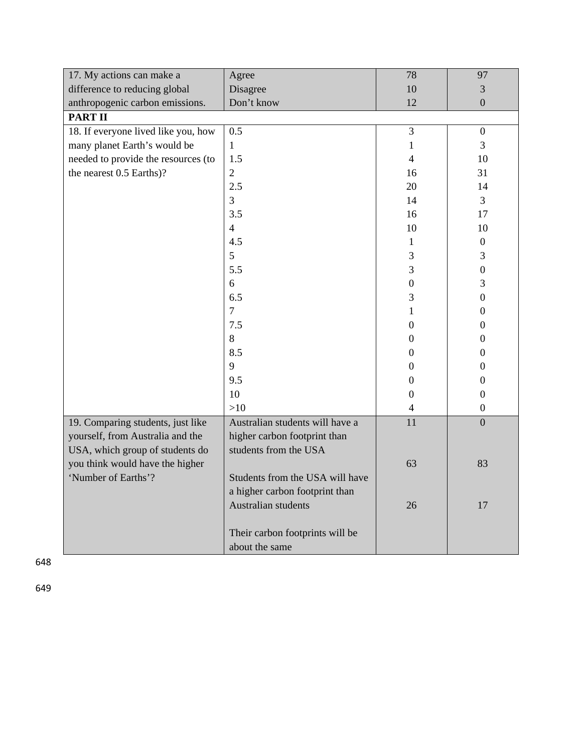| 17. My actions can make a           | Agree                           | 78               | 97               |
|-------------------------------------|---------------------------------|------------------|------------------|
| difference to reducing global       | Disagree                        | 10               | 3                |
| anthropogenic carbon emissions.     | Don't know                      | 12               | $\overline{0}$   |
| <b>PART II</b>                      |                                 |                  |                  |
| 18. If everyone lived like you, how | 0.5                             | 3                | $\boldsymbol{0}$ |
| many planet Earth's would be        | $\mathbf{1}$                    | $\mathbf{1}$     | 3                |
| needed to provide the resources (to | 1.5                             | $\overline{4}$   | 10               |
| the nearest 0.5 Earths)?            | $\sqrt{2}$                      | 16               | 31               |
|                                     | 2.5                             | 20               | 14               |
|                                     | 3                               | 14               | 3                |
|                                     | 3.5                             | 16               | 17               |
|                                     | $\overline{4}$                  | 10               | 10               |
|                                     | 4.5                             | $\mathbf{1}$     | $\boldsymbol{0}$ |
|                                     | 5                               | 3                | 3                |
|                                     | 5.5                             | 3                | $\boldsymbol{0}$ |
|                                     | 6                               | $\boldsymbol{0}$ | 3                |
|                                     | 6.5                             | 3                | $\boldsymbol{0}$ |
|                                     | $\overline{7}$                  | 1                | 0                |
|                                     | 7.5                             | $\boldsymbol{0}$ | 0                |
|                                     | 8                               | $\boldsymbol{0}$ | 0                |
|                                     | 8.5                             | $\boldsymbol{0}$ | $\boldsymbol{0}$ |
|                                     | 9                               | $\boldsymbol{0}$ | $\boldsymbol{0}$ |
|                                     | 9.5                             | $\boldsymbol{0}$ | $\boldsymbol{0}$ |
|                                     | 10                              | $\boldsymbol{0}$ | $\boldsymbol{0}$ |
|                                     | >10                             | $\overline{4}$   | $\boldsymbol{0}$ |
| 19. Comparing students, just like   | Australian students will have a | 11               | $\boldsymbol{0}$ |
| yourself, from Australia and the    | higher carbon footprint than    |                  |                  |
| USA, which group of students do     | students from the USA           |                  |                  |
| you think would have the higher     |                                 | 63               | 83               |
| 'Number of Earths'?                 | Students from the USA will have |                  |                  |
|                                     | a higher carbon footprint than  |                  |                  |
|                                     | Australian students             | 26               | 17               |
|                                     |                                 |                  |                  |
|                                     | Their carbon footprints will be |                  |                  |
|                                     | about the same                  |                  |                  |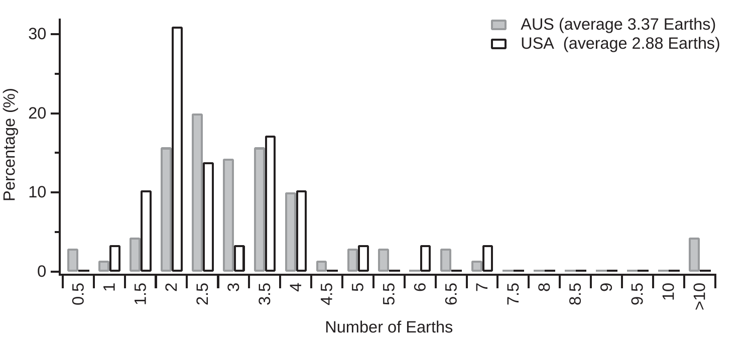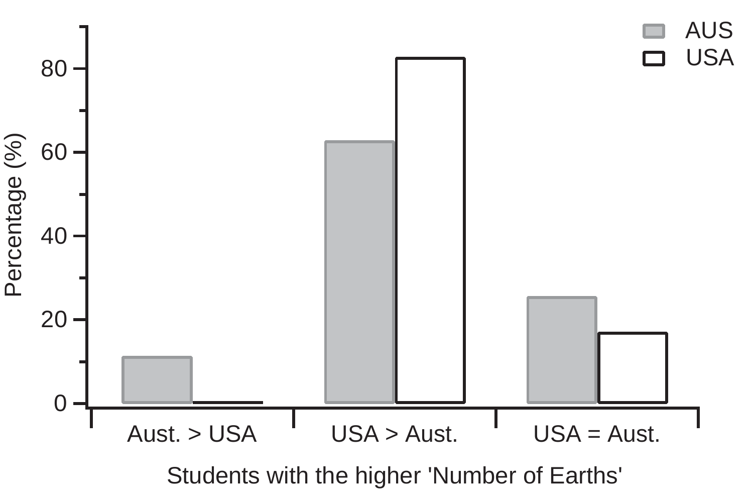

Students with the higher 'Number of Earths'